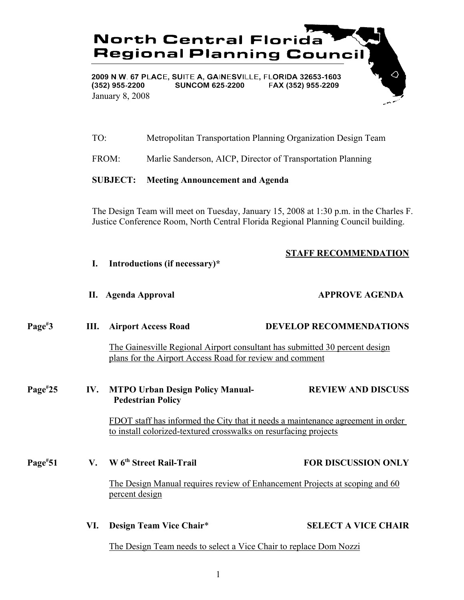

TO: Metropolitan Transportation Planning Organization Design Team

FROM: Marlie Sanderson, AICP, Director of Transportation Planning

### **SUBJECT: Meeting Announcement and Agenda**

The Design Team will meet on Tuesday, January 15, 2008 at 1:30 p.m. in the Charles F. Justice Conference Room, North Central Florida Regional Planning Council building.

# **STAFF RECOMMENDATION**

**I. Introductions (if necessary)\***

### **II. Agenda Approval APPROVE AGENDA**

| Page <sup>#</sup> 3 | <b>III.</b> Airport Access Road                                                                                                         | <b>DEVELOP RECOMMENDATIONS</b> |
|---------------------|-----------------------------------------------------------------------------------------------------------------------------------------|--------------------------------|
|                     | The Gainesville Regional Airport consultant has submitted 30 percent design<br>plans for the Airport Access Road for review and comment |                                |
| Page <sup>#25</sup> | IV. MTPO Urban Design Policy Manual-<br><b>Pedestrian Policy</b>                                                                        | <b>REVIEW AND DISCUSS</b>      |

FDOT staff has informed the City that it needs a maintenance agreement in order to install colorized-textured crosswalks on resurfacing projects

### **Page#**

**51 V. W 6th Street Rail-Trail FOR DISCUSSION ONLY**

The Design Manual requires review of Enhancement Projects at scoping and 60 percent design

### **VI. Design Team Vice Chair**\* **SELECT A VICE CHAIR**

The Design Team needs to select a Vice Chair to replace Dom Nozzi